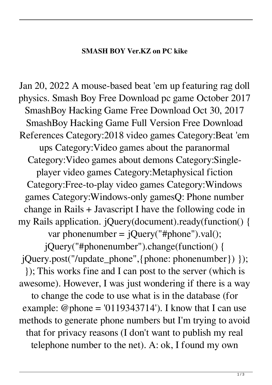## **SMASH BOY Ver.KZ on PC kike**

Jan 20, 2022 A mouse-based beat 'em up featuring rag doll physics. Smash Boy Free Download pc game October 2017 SmashBoy Hacking Game Free Download Oct 30, 2017 SmashBoy Hacking Game Full Version Free Download References Category:2018 video games Category:Beat 'em ups Category:Video games about the paranormal Category:Video games about demons Category:Singleplayer video games Category:Metaphysical fiction Category:Free-to-play video games Category:Windows games Category:Windows-only gamesQ: Phone number change in Rails + Javascript I have the following code in my Rails application. jQuery(document).ready(function() { var phonenumber =  $jQuery("#phone") . val();$ jQuery("#phonenumber").change(function() { jQuery.post("/update\_phone",{phone: phonenumber}) }); }); This works fine and I can post to the server (which is awesome). However, I was just wondering if there is a way to change the code to use what is in the database (for example: @phone = '0119343714'). I know that I can use methods to generate phone numbers but I'm trying to avoid that for privacy reasons (I don't want to publish my real telephone number to the net). A: ok, I found my own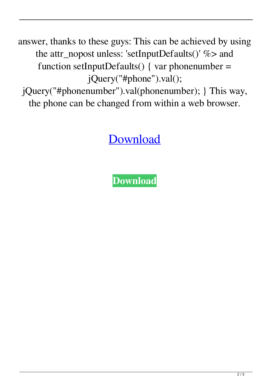answer, thanks to these guys: This can be achieved by using the attr\_nopost unless: 'setInputDefaults()' %> and function setInputDefaults() { var phonenumber = jQuery("#phone").val();

jQuery("#phonenumber").val(phonenumber); } This way, the phone can be changed from within a web browser.

## [Download](https://fancli.com/2l0uoo)

**[Download](https://fancli.com/2l0uoo)**